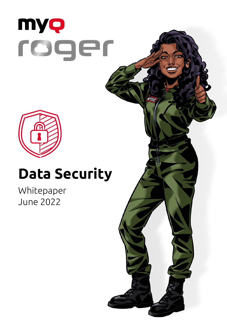



### **Data Security**

Whitepaper June 2022

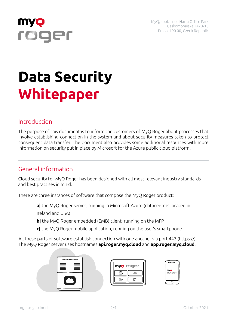

# roger

## **Data Security Whitepaper**

#### Introduction

The purpose of this document is to inform the customers of MyQ Roger about processes that involve establishing connection in the system and about security measures taken to protect consequent data transfer. The document also provides some additional resources with more information on security put in place by Microsoft for the Azure public cloud platform.

#### General information

Cloud security for MyQ Roger has been designed with all most relevant industry standards and best practises in mind.

There are three instances of software that compose the MyQ Roger product:

**a|** the MyQ Roger server, running in Microsoft Azure (datacenters located in

Ireland and USA)

- **b|** the MyQ Roger embedded (EMB) client, running on the MFP
- **c|** the MyQ Roger mobile application, running on the user's smartphone

All these parts of software establish connection with one another via port 443 (https://). The MyQ Roger server uses hostnames **api.roger.myq.cloud** and **app.roger.myq.cloud**.



| myo rager |  |
|-----------|--|
|           |  |
|           |  |

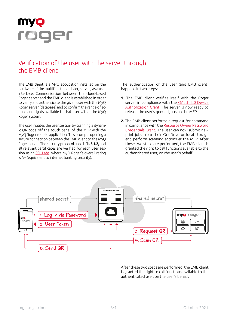

#### Verification of the user with the server through the EMB client

The EMB client is a MyQ application installed on the hardware of the multifunction printer, serving as a user interface. Communication between the cloud-based Roger server and the EMB client is established in order to verify and authenticate the given user with the MyQ Roger server (database) and to confirm the range of actions and rights available to that user within the MyQ Roger system.

The user intiates the user session by scanning a dynamic QR code off the touch panel of the MFP with the MyQ Roger mobile application. This prompts opening a secure connection between the EMB client to the MyQ Roger server. The security protocol used is **TLS 1.2,** and all relevant certificates are verified for each user session using [SSL Labs](https://www.ssllabs.com/ssltest/analyze.html?d=api.roger.myq.cloud&hideResults=on&latest), where MyQ Roger's overall rating is A+ (equivalent to internet banking security).

The authentication of the user (and EMB client) happens in two steps:

- **1.** The EMB client verifies itself with the Roger server in compliance with the [OAuth 2.0 Device](https://datatracker.ietf.org/doc/html/rfc8628) [Authorization Grant](https://datatracker.ietf.org/doc/html/rfc8628). The server is now ready to release the user's queued jobs on the MFP.
- **2.** The EMB client performs a request for command in compliance with the [Resource Owner Password](https://datatracker.ietf.org/doc/html/rfc6749#section-4.3) [Credentials Grant](https://datatracker.ietf.org/doc/html/rfc6749#section-4.3)**.** The user can now submit new print jobs from their OneDrive or local storage and perform scanning actions at the MFP. After these two steps are performed, the EMB client is granted the right to call functions available to the authenticated user, on the user's behalf.



After these two steps are performed, the EMB client is granted the right to call functions available to the authenticated user, on the user's behalf.